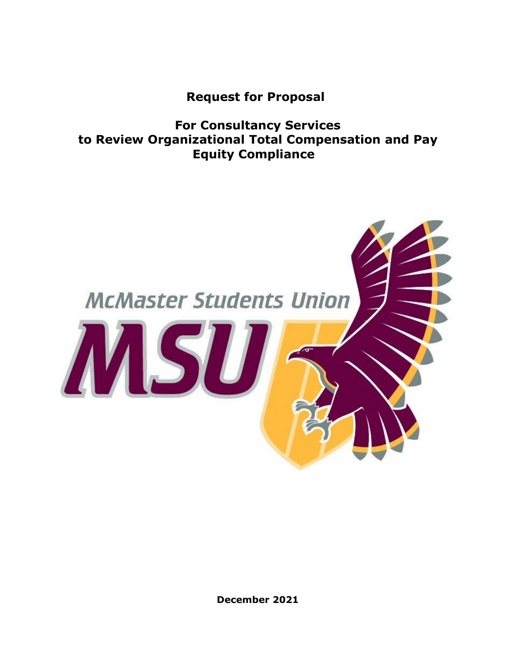**Request for Proposal**

**For Consultancy Services to Review Organizational Total Compensation and Pay Equity Compliance**



**December 2021**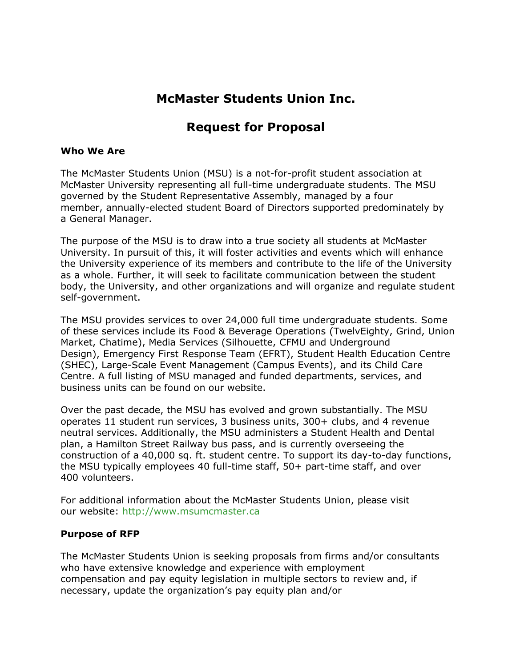# **McMaster Students Union Inc.**

## **Request for Proposal**

### **Who We Are**

The McMaster Students Union (MSU) is a not-for-profit student association at McMaster University representing all full-time undergraduate students. The MSU governed by the Student Representative Assembly, managed by a four member, annually-elected student Board of Directors supported predominately by a General Manager.

The purpose of the MSU is to draw into a true society all students at McMaster University. In pursuit of this, it will foster activities and events which will enhance the University experience of its members and contribute to the life of the University as a whole. Further, it will seek to facilitate communication between the student body, the University, and other organizations and will organize and regulate student self-government.

The MSU provides services to over 24,000 full time undergraduate students. Some of these services include its Food & Beverage Operations (TwelvEighty, Grind, Union Market, Chatime), Media Services (Silhouette, CFMU and Underground Design), Emergency First Response Team (EFRT), Student Health Education Centre (SHEC), Large-Scale Event Management (Campus Events), and its Child Care Centre. A full listing of MSU managed and funded departments, services, and business units can be found on our website.

Over the past decade, the MSU has evolved and grown substantially. The MSU operates 11 student run services, 3 business units, 300+ clubs, and 4 revenue neutral services. Additionally, the MSU administers a Student Health and Dental plan, a Hamilton Street Railway bus pass, and is currently overseeing the construction of a 40,000 sq. ft. student centre. To support its day-to-day functions, the MSU typically employees 40 full-time staff, 50+ part-time staff, and over 400 volunteers.

For additional information about the McMaster Students Union, please visit our website: [http://www.msumcmaster.ca](http://www.msumcmaster.ca/)

### **Purpose of RFP**

The McMaster Students Union is seeking proposals from firms and/or consultants who have extensive knowledge and experience with employment compensation and pay equity legislation in multiple sectors to review and, if necessary, update the organization's pay equity plan and/or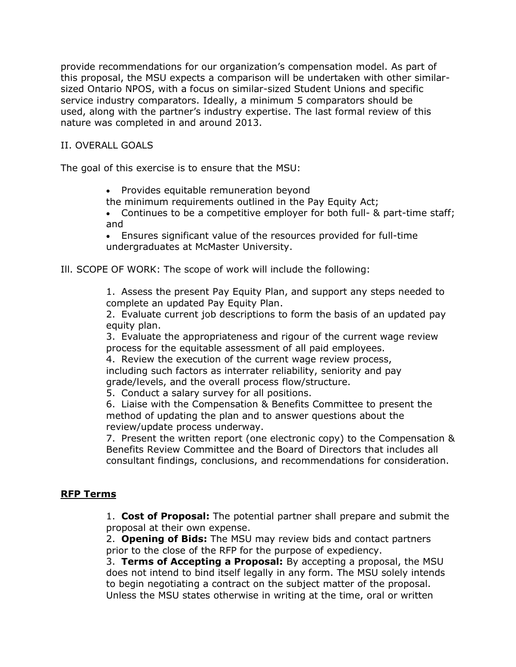provide recommendations for our organization's compensation model. As part of this proposal, the MSU expects a comparison will be undertaken with other similarsized Ontario NPOS, with a focus on similar-sized Student Unions and specific service industry comparators. Ideally, a minimum 5 comparators should be used, along with the partner's industry expertise. The last formal review of this nature was completed in and around 2013.

### II. OVERALL GOALS

The goal of this exercise is to ensure that the MSU:

• Provides equitable remuneration beyond

the minimum requirements outlined in the Pay Equity Act;

• Continues to be a competitive employer for both full- & part-time staff; and

• Ensures significant value of the resources provided for full-time undergraduates at McMaster University.

Ill. SCOPE OF WORK: The scope of work will include the following:

1. Assess the present Pay Equity Plan, and support any steps needed to complete an updated Pay Equity Plan.

2. Evaluate current job descriptions to form the basis of an updated pay equity plan.

3. Evaluate the appropriateness and rigour of the current wage review process for the equitable assessment of all paid employees.

4. Review the execution of the current wage review process, including such factors as interrater reliability, seniority and pay grade/levels, and the overall process flow/structure.

5. Conduct a salary survey for all positions.

6. Liaise with the Compensation & Benefits Committee to present the method of updating the plan and to answer questions about the review/update process underway.

7. Present the written report (one electronic copy) to the Compensation & Benefits Review Committee and the Board of Directors that includes all consultant findings, conclusions, and recommendations for consideration.

### **RFP Terms**

1. **Cost of Proposal:** The potential partner shall prepare and submit the proposal at their own expense.

2. **Opening of Bids:** The MSU may review bids and contact partners prior to the close of the RFP for the purpose of expediency.

3. **Terms of Accepting a Proposal:** By accepting a proposal, the MSU does not intend to bind itself legally in any form. The MSU solely intends to begin negotiating a contract on the subject matter of the proposal. Unless the MSU states otherwise in writing at the time, oral or written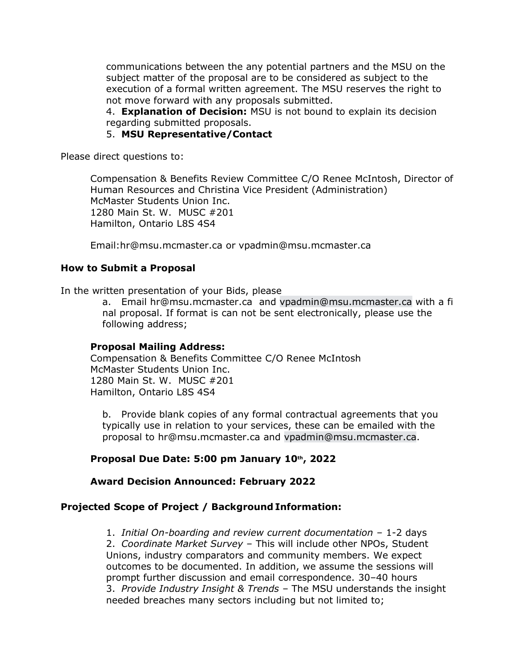communications between the any potential partners and the MSU on the subject matter of the proposal are to be considered as subject to the execution of a formal written agreement. The MSU reserves the right to not move forward with any proposals submitted.

4. **Explanation of Decision:** MSU is not bound to explain its decision regarding submitted proposals.

5. **MSU Representative/Contact**

Please direct questions to:

Compensation & Benefits Review Committee C/O Renee McIntosh, Director of Human Resources and Christina Vice President (Administration) McMaster Students Union Inc. 1280 Main St. W. MUSC #201 Hamilton, Ontario L8S 4S4

Email:hr@msu.mcmaster.ca or vpadmin@msu.mcmaster.ca

### **How to Submit a Proposal**

In the written presentation of your Bids, please

a. Email hr@msu.mcmaster.ca and [vpadmin@msu.mcmaster.ca](mailto:vpadmin@msu.mcmaster.ca) with a fi nal proposal. If format is can not be sent electronically, please use the following address;

#### **Proposal Mailing Address:**

Compensation & Benefits Committee C/O Renee McIntosh McMaster Students Union Inc. 1280 Main St. W. MUSC #201 Hamilton, Ontario L8S 4S4

b. Provide blank copies of any formal contractual agreements that you typically use in relation to your services, these can be emailed with the proposal to hr@msu.mcmaster.ca and [vpadmin@msu.mcmaster.ca.](mailto:vpadmin@msu.mcmaster.ca)

### **Proposal Due Date: 5:00 pm January 10th, 2022**

### **Award Decision Announced: February 2022**

## **Projected Scope of Project / Background Information:**

1. *Initial On-boarding and review current documentation* – 1-2 days 2. *Coordinate Market Survey* – This will include other NPOs, Student Unions, industry comparators and community members. We expect outcomes to be documented. In addition, we assume the sessions will prompt further discussion and email correspondence. 30–40 hours 3. *Provide Industry Insight & Trends* – The MSU understands the insight needed breaches many sectors including but not limited to;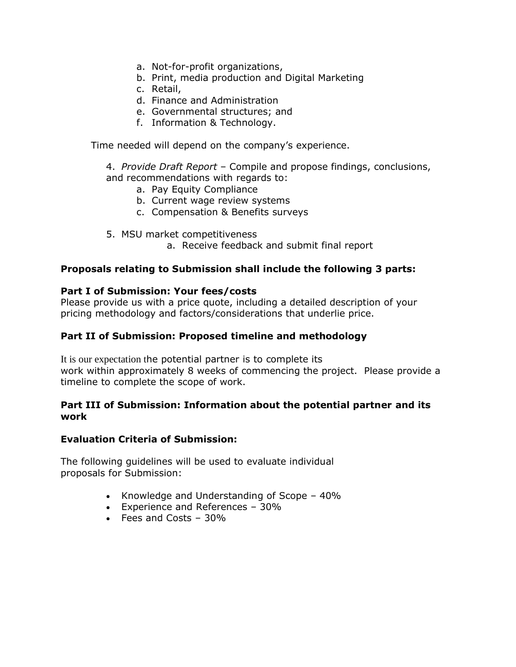- a. Not-for-profit organizations,
- b. Print, media production and Digital Marketing
- c. Retail,
- d. Finance and Administration
- e. Governmental structures; and
- f. Information & Technology.

Time needed will depend on the company's experience.

4. *Provide Draft Report* – Compile and propose findings, conclusions, and recommendations with regards to:

- a. Pay Equity Compliance
- b. Current wage review systems
- c. Compensation & Benefits surveys
- 5. MSU market competitiveness
	- a. Receive feedback and submit final report

### **Proposals relating to Submission shall include the following 3 parts:**

### **Part I of Submission: Your fees/costs**

Please provide us with a price quote, including a detailed description of your pricing methodology and factors/considerations that underlie price.

### **Part II of Submission: Proposed timeline and methodology**

It is our expectation the potential partner is to complete its work within approximately 8 weeks of commencing the project. Please provide a timeline to complete the scope of work.

### **Part III of Submission: Information about the potential partner and its work**

### **Evaluation Criteria of Submission:**

The following guidelines will be used to evaluate individual proposals for Submission:

- Knowledge and Understanding of Scope 40%
- Experience and References 30%
- Fees and Costs 30%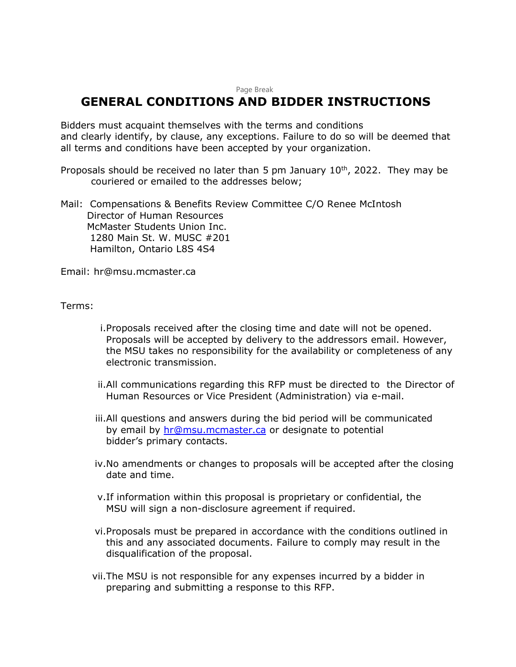#### Page Break

## **GENERAL CONDITIONS AND BIDDER INSTRUCTIONS**

Bidders must acquaint themselves with the terms and conditions and clearly identify, by clause, any exceptions. Failure to do so will be deemed that all terms and conditions have been accepted by your organization.

Proposals should be received no later than 5 pm January  $10^{th}$ , 2022. They may be couriered or emailed to the addresses below;

Mail: Compensations & Benefits Review Committee C/O Renee McIntosh Director of Human Resources McMaster Students Union Inc. 1280 Main St. W. MUSC #201 Hamilton, Ontario L8S 4S4

Email: hr@msu.mcmaster.ca

Terms:

- i.Proposals received after the closing time and date will not be opened. Proposals will be accepted by delivery to the addressors email. However, the MSU takes no responsibility for the availability or completeness of any electronic transmission.
- ii.All communications regarding this RFP must be directed to the Director of Human Resources or Vice President (Administration) via e-mail.
- iii.All questions and answers during the bid period will be communicated by email by [hr@msu.mcmaster.ca](mailto:hr@msu.mcmaster.ca) or designate to potential bidder's primary contacts.
- iv.No amendments or changes to proposals will be accepted after the closing date and time.
- v.If information within this proposal is proprietary or confidential, the MSU will sign a non-disclosure agreement if required.
- vi.Proposals must be prepared in accordance with the conditions outlined in this and any associated documents. Failure to comply may result in the disqualification of the proposal.
- vii.The MSU is not responsible for any expenses incurred by a bidder in preparing and submitting a response to this RFP.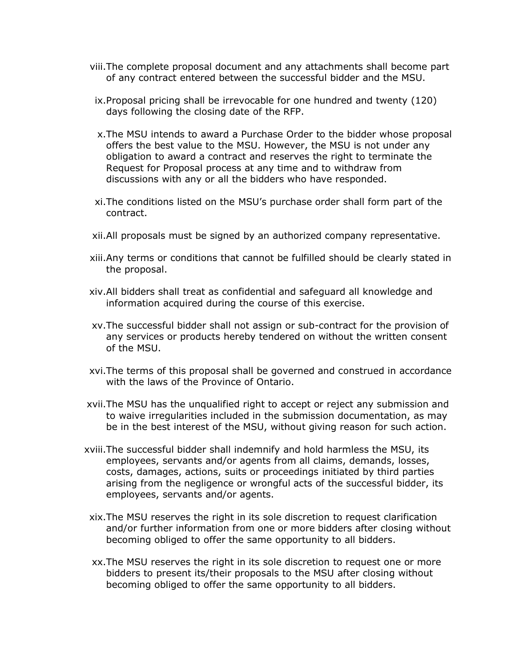- viii.The complete proposal document and any attachments shall become part of any contract entered between the successful bidder and the MSU.
- ix.Proposal pricing shall be irrevocable for one hundred and twenty (120) days following the closing date of the RFP.
- x.The MSU intends to award a Purchase Order to the bidder whose proposal offers the best value to the MSU. However, the MSU is not under any obligation to award a contract and reserves the right to terminate the Request for Proposal process at any time and to withdraw from discussions with any or all the bidders who have responded.
- xi.The conditions listed on the MSU's purchase order shall form part of the contract.
- xii.All proposals must be signed by an authorized company representative.
- xiii.Any terms or conditions that cannot be fulfilled should be clearly stated in the proposal.
- xiv.All bidders shall treat as confidential and safeguard all knowledge and information acquired during the course of this exercise.
- xv.The successful bidder shall not assign or sub-contract for the provision of any services or products hereby tendered on without the written consent of the MSU.
- xvi.The terms of this proposal shall be governed and construed in accordance with the laws of the Province of Ontario.
- xvii.The MSU has the unqualified right to accept or reject any submission and to waive irregularities included in the submission documentation, as may be in the best interest of the MSU, without giving reason for such action.
- xviii.The successful bidder shall indemnify and hold harmless the MSU, its employees, servants and/or agents from all claims, demands, losses, costs, damages, actions, suits or proceedings initiated by third parties arising from the negligence or wrongful acts of the successful bidder, its employees, servants and/or agents.
	- xix.The MSU reserves the right in its sole discretion to request clarification and/or further information from one or more bidders after closing without becoming obliged to offer the same opportunity to all bidders.
	- xx.The MSU reserves the right in its sole discretion to request one or more bidders to present its/their proposals to the MSU after closing without becoming obliged to offer the same opportunity to all bidders.